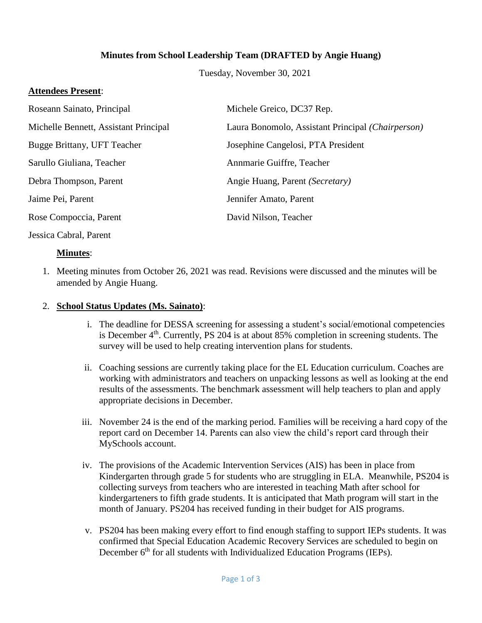## **Minutes from School Leadership Team (DRAFTED by Angie Huang)**

Tuesday, November 30, 2021

#### **Attendees Present**:

| Roseann Sainato, Principal            | Michele Greico, DC37 Rep.                         |
|---------------------------------------|---------------------------------------------------|
| Michelle Bennett, Assistant Principal | Laura Bonomolo, Assistant Principal (Chairperson) |
| Bugge Brittany, UFT Teacher           | Josephine Cangelosi, PTA President                |
| Sarullo Giuliana, Teacher             | Annmarie Guiffre, Teacher                         |
| Debra Thompson, Parent                | Angie Huang, Parent (Secretary)                   |
| Jaime Pei, Parent                     | Jennifer Amato, Parent                            |
| Rose Compoccia, Parent                | David Nilson, Teacher                             |
|                                       |                                                   |

#### Jessica Cabral, Parent

### **Minutes**:

1. Meeting minutes from October 26, 2021 was read. Revisions were discussed and the minutes will be amended by Angie Huang.

#### 2. **School Status Updates (Ms. Sainato)**:

- i. The deadline for DESSA screening for assessing a student's social/emotional competencies is December  $4<sup>th</sup>$ . Currently, PS 204 is at about 85% completion in screening students. The survey will be used to help creating intervention plans for students.
- ii. Coaching sessions are currently taking place for the EL Education curriculum. Coaches are working with administrators and teachers on unpacking lessons as well as looking at the end results of the assessments. The benchmark assessment will help teachers to plan and apply appropriate decisions in December.
- iii. November 24 is the end of the marking period. Families will be receiving a hard copy of the report card on December 14. Parents can also view the child's report card through their MySchools account.
- iv. The provisions of the Academic Intervention Services (AIS) has been in place from Kindergarten through grade 5 for students who are struggling in ELA. Meanwhile, PS204 is collecting surveys from teachers who are interested in teaching Math after school for kindergarteners to fifth grade students. It is anticipated that Math program will start in the month of January. PS204 has received funding in their budget for AIS programs.
- v. PS204 has been making every effort to find enough staffing to support IEPs students. It was confirmed that Special Education Academic Recovery Services are scheduled to begin on December 6<sup>th</sup> for all students with Individualized Education Programs (IEPs).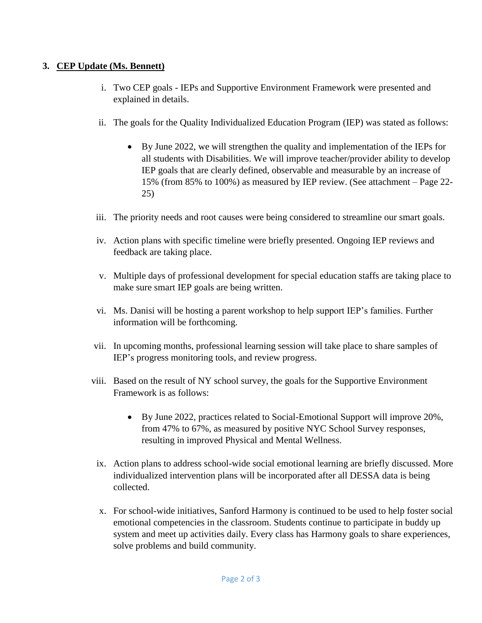# **3. CEP Update (Ms. Bennett)**

- i. Two CEP goals IEPs and Supportive Environment Framework were presented and explained in details.
- ii. The goals for the Quality Individualized Education Program (IEP) was stated as follows:
	- By June 2022, we will strengthen the quality and implementation of the IEPs for all students with Disabilities. We will improve teacher/provider ability to develop IEP goals that are clearly defined, observable and measurable by an increase of 15% (from 85% to 100%) as measured by IEP review. (See attachment – Page 22- 25)
- iii. The priority needs and root causes were being considered to streamline our smart goals.
- iv. Action plans with specific timeline were briefly presented. Ongoing IEP reviews and feedback are taking place.
- v. Multiple days of professional development for special education staffs are taking place to make sure smart IEP goals are being written.
- vi. Ms. Danisi will be hosting a parent workshop to help support IEP's families. Further information will be forthcoming.
- vii. In upcoming months, professional learning session will take place to share samples of IEP's progress monitoring tools, and review progress.
- viii. Based on the result of NY school survey, the goals for the Supportive Environment Framework is as follows:
	- By June 2022, practices related to Social-Emotional Support will improve 20%, from 47% to 67%, as measured by positive NYC School Survey responses, resulting in improved Physical and Mental Wellness.
	- ix. Action plans to address school-wide social emotional learning are briefly discussed. More individualized intervention plans will be incorporated after all DESSA data is being collected.
	- x. For school-wide initiatives, Sanford Harmony is continued to be used to help foster social emotional competencies in the classroom. Students continue to participate in buddy up system and meet up activities daily. Every class has Harmony goals to share experiences, solve problems and build community.